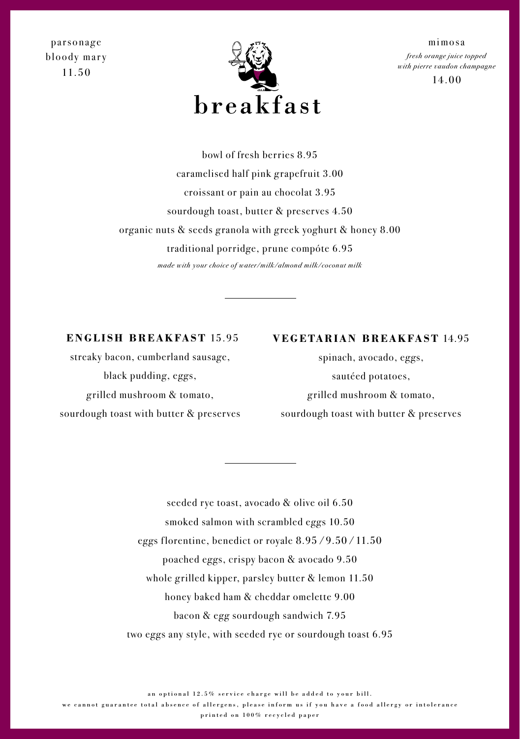parsonage bloody mary 11.50



mimosa *fresh orange juice topped with pierre vaudon champagne*

14.00

bowl of fresh berries 8.95 caramelised half pink grapefruit 3.00 croissant or pain au chocolat 3.95 sourdough toast, butter & preserves 4.50 organic nuts & seeds granola with greek yoghurt & honey 8.00 traditional porridge, prune compóte 6.95 *made with your choice of water/milk/almond milk/coconut milk*

### **ENGLISH BREAKFAST** 15.95

streaky bacon, cumberland sausage, black pudding, eggs, g rilled mushroom & tomato, sourdough toast with butter & preserves

# **VEGETARIAN BREAKFAST** 14.95

spinach, avocado, eggs, sautéed potatoes, g rilled mushroom & tomato, sourdough toast with butter & preserves

seeded rye toast, avocado & olive oil 6.50 smoked salmon with scrambled eggs 10.50 eggs florentine, benedict or royale  $8.95 / 9.50 / 11.50$ poached eggs, crispy bacon & avocado 9.50 whole grilled kipper, parsley butter & lemon 11.50 honey baked ham & cheddar omelette 9.00 bacon & egg sourdough sandwich 7.95 two eggs any style, with seeded rye or sourdough toast 6.95

an optional 12.5% service charge will be added to your bill.

we cannot guarantee total absence of allergens, please inform us if you have a food allergy or intolerance

printed on 100% recycled paper